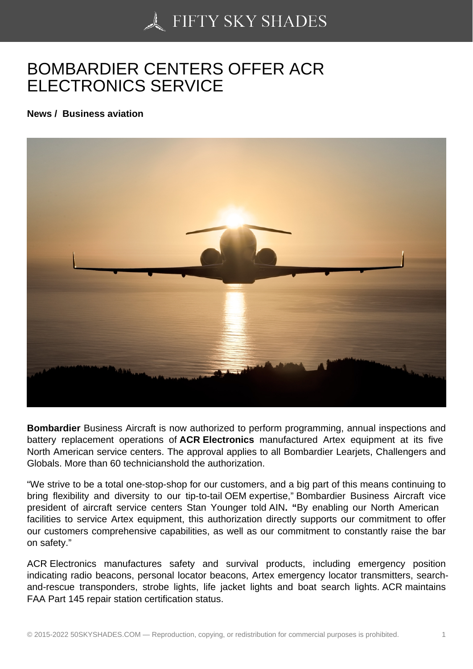## [BOMBARDIER CENTE](https://50skyshades.com)RS OFFER ACR ELECTRONICS SERVICE

News / Business aviation

Bombardier Business Aircraft is now authorized to perform programming, annual inspections and battery replacement operations of ACR Electronics manufactured Artex equipment at its five North American service centers. The approval applies to all Bombardier Learjets, Challengers and Globals. More than 60 technicianshold the authorization.

"We strive to be a total one-stop-shop for our customers, and a big part of this means continuing to bring flexibility and diversity to our tip-to-tail OEM expertise," Bombardier Business Aircraft vice president of aircraft service centers Stan Younger told AIN. " By enabling our North American facilities to service Artex equipment, this authorization directly supports our commitment to offer our customers comprehensive capabilities, as well as our commitment to constantly raise the bar on safety."

ACR Electronics manufactures safety and survival products, including emergency position indicating radio beacons, personal locator beacons, Artex emergency locator transmitters, searchand-rescue transponders, strobe lights, life jacket lights and boat search lights. ACR maintains FAA Part 145 repair station certification status.